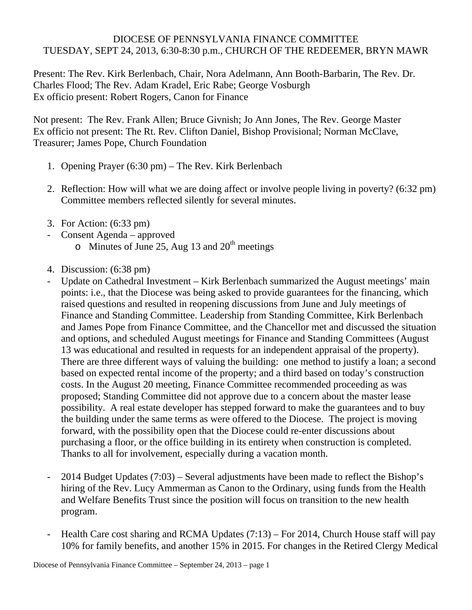## DIOCESE OF PENNSYLVANIA FINANCE COMMITTEE TUESDAY, SEPT 24, 2013, 6:30-8:30 p.m., CHURCH OF THE REDEEMER, BRYN MAWR

Present: The Rev. Kirk Berlenbach, Chair, Nora Adelmann, Ann Booth-Barbarin, The Rev. Dr. Charles Flood; The Rev. Adam Kradel, Eric Rabe; George Vosburgh Ex officio present: Robert Rogers, Canon for Finance

Not present: The Rev. Frank Allen; Bruce Givnish; Jo Ann Jones, The Rev. George Master Ex officio not present: The Rt. Rev. Clifton Daniel, Bishop Provisional; Norman McClave, Treasurer; James Pope, Church Foundation

- 1. Opening Prayer (6:30 pm) The Rev. Kirk Berlenbach
- 2. Reflection: How will what we are doing affect or involve people living in poverty? (6:32 pm) Committee members reflected silently for several minutes.
- 3. For Action: (6:33 pm)
- Consent Agenda approved
	- $\circ$  Minutes of June 25, Aug 13 and 20<sup>th</sup> meetings
- 4. Discussion: (6:38 pm)
- Update on Cathedral Investment Kirk Berlenbach summarized the August meetings' main points: i.e., that the Diocese was being asked to provide guarantees for the financing, which raised questions and resulted in reopening discussions from June and July meetings of Finance and Standing Committee. Leadership from Standing Committee, Kirk Berlenbach and James Pope from Finance Committee, and the Chancellor met and discussed the situation and options, and scheduled August meetings for Finance and Standing Committees (August 13 was educational and resulted in requests for an independent appraisal of the property). There are three different ways of valuing the building: one method to justify a loan; a second based on expected rental income of the property; and a third based on today's construction costs. In the August 20 meeting, Finance Committee recommended proceeding as was proposed; Standing Committee did not approve due to a concern about the master lease possibility. A real estate developer has stepped forward to make the guarantees and to buy the building under the same terms as were offered to the Diocese. The project is moving forward, with the possibility open that the Diocese could re-enter discussions about purchasing a floor, or the office building in its entirety when construction is completed. Thanks to all for involvement, especially during a vacation month.
- 2014 Budget Updates (7:03) Several adjustments have been made to reflect the Bishop's hiring of the Rev. Lucy Ammerman as Canon to the Ordinary, using funds from the Health and Welfare Benefits Trust since the position will focus on transition to the new health program.
- Health Care cost sharing and RCMA Updates (7:13) For 2014, Church House staff will pay 10% for family benefits, and another 15% in 2015. For changes in the Retired Clergy Medical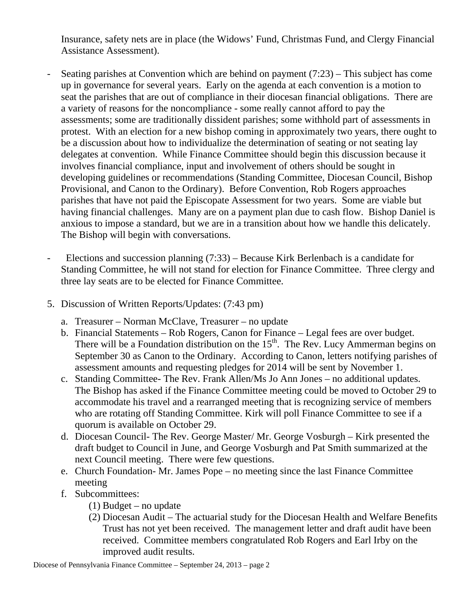Insurance, safety nets are in place (the Widows' Fund, Christmas Fund, and Clergy Financial Assistance Assessment).

- Seating parishes at Convention which are behind on payment (7:23) This subject has come up in governance for several years. Early on the agenda at each convention is a motion to seat the parishes that are out of compliance in their diocesan financial obligations. There are a variety of reasons for the noncompliance - some really cannot afford to pay the assessments; some are traditionally dissident parishes; some withhold part of assessments in protest. With an election for a new bishop coming in approximately two years, there ought to be a discussion about how to individualize the determination of seating or not seating lay delegates at convention. While Finance Committee should begin this discussion because it involves financial compliance, input and involvement of others should be sought in developing guidelines or recommendations (Standing Committee, Diocesan Council, Bishop Provisional, and Canon to the Ordinary). Before Convention, Rob Rogers approaches parishes that have not paid the Episcopate Assessment for two years. Some are viable but having financial challenges. Many are on a payment plan due to cash flow. Bishop Daniel is anxious to impose a standard, but we are in a transition about how we handle this delicately. The Bishop will begin with conversations.
- Elections and succession planning (7:33) Because Kirk Berlenbach is a candidate for Standing Committee, he will not stand for election for Finance Committee. Three clergy and three lay seats are to be elected for Finance Committee.
- 5. Discussion of Written Reports/Updates: (7:43 pm)
	- a. Treasurer Norman McClave, Treasurer no update
	- b. Financial Statements Rob Rogers, Canon for Finance Legal fees are over budget. There will be a Foundation distribution on the  $15<sup>th</sup>$ . The Rev. Lucy Ammerman begins on September 30 as Canon to the Ordinary. According to Canon, letters notifying parishes of assessment amounts and requesting pledges for 2014 will be sent by November 1.
	- c. Standing Committee- The Rev. Frank Allen/Ms Jo Ann Jones no additional updates. The Bishop has asked if the Finance Committee meeting could be moved to October 29 to accommodate his travel and a rearranged meeting that is recognizing service of members who are rotating off Standing Committee. Kirk will poll Finance Committee to see if a quorum is available on October 29.
	- d. Diocesan Council- The Rev. George Master/ Mr. George Vosburgh Kirk presented the draft budget to Council in June, and George Vosburgh and Pat Smith summarized at the next Council meeting. There were few questions.
	- e. Church Foundation- Mr. James Pope no meeting since the last Finance Committee meeting
	- f. Subcommittees:
		- (1) Budget no update
		- (2) Diocesan Audit The actuarial study for the Diocesan Health and Welfare Benefits Trust has not yet been received. The management letter and draft audit have been received. Committee members congratulated Rob Rogers and Earl Irby on the improved audit results.

Diocese of Pennsylvania Finance Committee – September 24, 2013 – page 2